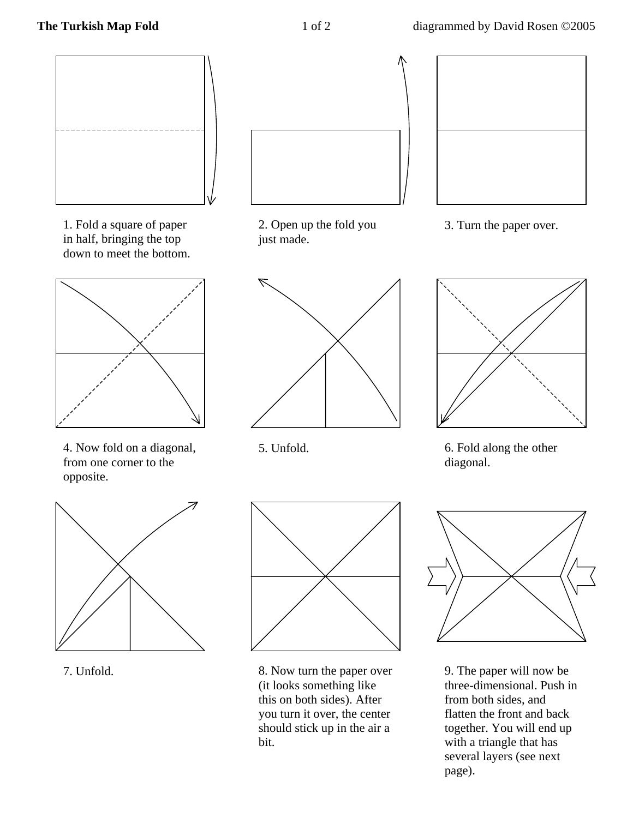

1. Fold a square of paper in half, bringing the top down to meet the bottom.



4. Now fold on a diagonal, from one corner to the opposite.





2. Open up the fold you just made.



5. Unfold.





3. Turn the paper over.







9. The paper will now be three-dimensional. Push in from both sides, and flatten the front and back together. You will end up with a triangle that has several layers (see next page).